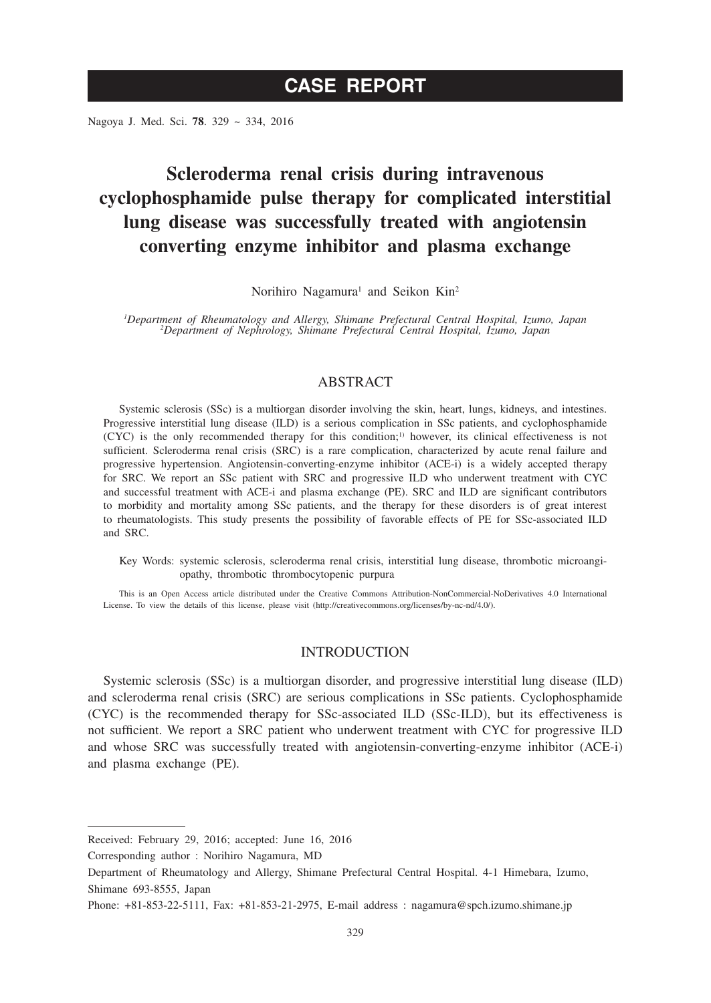# **CASE REPORT**

Nagoya J. Med. Sci. **78**. 329 ~ 334, 2016

# **Scleroderma renal crisis during intravenous cyclophosphamide pulse therapy for complicated interstitial lung disease was successfully treated with angiotensin converting enzyme inhibitor and plasma exchange**

Norihiro Nagamura<sup>1</sup> and Seikon Kin<sup>2</sup>

*1 Department of Rheumatology and Allergy, Shimane Prefectural Central Hospital, Izumo, Japan <sup>2</sup> Department of Nephrology, Shimane Prefectural Central Hospital, Izumo, Japan*

## ABSTRACT

Systemic sclerosis (SSc) is a multiorgan disorder involving the skin, heart, lungs, kidneys, and intestines. Progressive interstitial lung disease (ILD) is a serious complication in SSc patients, and cyclophosphamide (CYC) is the only recommended therapy for this condition;1) however, its clinical effectiveness is not sufficient. Scleroderma renal crisis (SRC) is a rare complication, characterized by acute renal failure and progressive hypertension. Angiotensin-converting-enzyme inhibitor (ACE-i) is a widely accepted therapy for SRC. We report an SSc patient with SRC and progressive ILD who underwent treatment with CYC and successful treatment with ACE-i and plasma exchange (PE). SRC and ILD are significant contributors to morbidity and mortality among SSc patients, and the therapy for these disorders is of great interest to rheumatologists. This study presents the possibility of favorable effects of PE for SSc-associated ILD and SRC.

Key Words: systemic sclerosis, scleroderma renal crisis, interstitial lung disease, thrombotic microangiopathy, thrombotic thrombocytopenic purpura

This is an Open Access article distributed under the Creative Commons Attribution-NonCommercial-NoDerivatives 4.0 International License. To view the details of this license, please visit (http://creativecommons.org/licenses/by-nc-nd/4.0/).

### INTRODUCTION

Systemic sclerosis (SSc) is a multiorgan disorder, and progressive interstitial lung disease (ILD) and scleroderma renal crisis (SRC) are serious complications in SSc patients. Cyclophosphamide (CYC) is the recommended therapy for SSc-associated ILD (SSc-ILD), but its effectiveness is not sufficient. We report a SRC patient who underwent treatment with CYC for progressive ILD and whose SRC was successfully treated with angiotensin-converting-enzyme inhibitor (ACE-i) and plasma exchange (PE).

Corresponding author : Norihiro Nagamura, MD

Received: February 29, 2016; accepted: June 16, 2016

Department of Rheumatology and Allergy, Shimane Prefectural Central Hospital. 4-1 Himebara, Izumo, Shimane 693-8555, Japan

Phone: +81-853-22-5111, Fax: +81-853-21-2975, E-mail address : nagamura@spch.izumo.shimane.jp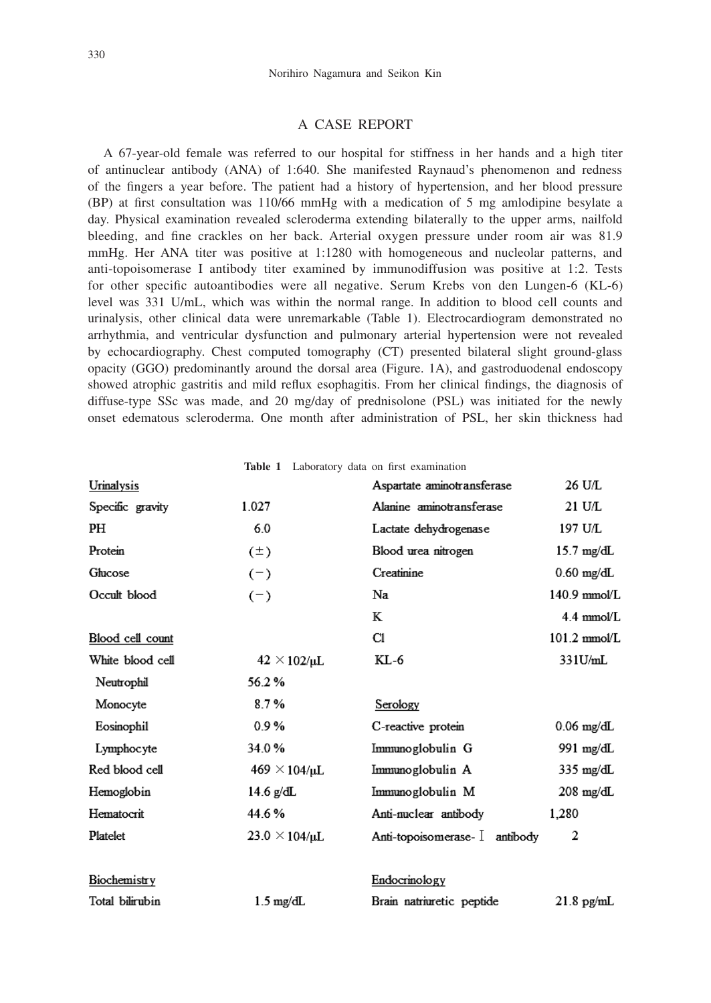## A CASE REPORT

A 67-year-old female was referred to our hospital for stiffness in her hands and a high titer of antinuclear antibody (ANA) of 1:640. She manifested Raynaud's phenomenon and redness of the ngers a year before. The patient had a history of hypertension, and her blood pressure  $(BP)$  at first consultation was 110/66 mmHg with a medication of 5 mg amlodipine besylate a day. Physical examination revealed scleroderma extending bilaterally to the upper arms, nailfold bleeding, and fine crackles on her back. Arterial oxygen pressure under room air was 81.9 mmHg. Her ANA titer was positive at 1:1280 with homogeneous and nucleolar patterns, and anti-topoisomerase I antibody titer examined by immunodiffusion was positive at 1:2. Tests for other specific autoantibodies were all negative. Serum Krebs von den Lungen-6 (KL-6) level was 331 U/mL, which was within the normal range. In addition to blood cell counts and urinalysis, other clinical data were unremarkable (Table 1). Electrocardiogram demonstrated no arrhythmia, and ventricular dysfunction and pulmonary arterial hypertension were not revealed by echocardiography. Chest computed tomography (CT) presented bilateral slight ground-glass opacity (GGO) predominantly around the dorsal area (Figure. 1A), and gastroduodenal endoscopy showed atrophic gastritis and mild reflux esophagitis. From her clinical findings, the diagnosis of diffuse-type SSc was made, and 20 mg/day of prednisolone (PSL) was initiated for the newly onset edematous scleroderma. One month after administration of PSL, her skin thickness had

Table 1 Laboratory data on first examination

| Urinalysis       |                         | Aspartate aminotransferase     | 26 U/L                 |
|------------------|-------------------------|--------------------------------|------------------------|
| Specific gravity | 1.027                   | Alanine aminotransferase       | 21 U/L                 |
| PH               | 60                      | Lactate dehydrogenase          | 197 U/L                |
| Protein          | $(\pm)$                 | Blood urea nitrogen            | $15.7 \text{ mg/dL}$   |
| Glucose          | $(-)$                   | Creatinine                     | $0.60$ mg/dL           |
| Occult blood     | $(-)$                   | Na                             | 140.9 mmol/L           |
|                  |                         | К                              | $4.4 \text{ mmol/L}$   |
| Blood cell count |                         | C1                             | $101.2 \text{ mmol/L}$ |
| White blood cell | $42 \times 102/\mu L$   | KL-6                           | 331U/mL                |
| Neutrophil       | 56.2%                   |                                |                        |
| Monocyte         | 8.7%                    | Serology                       |                        |
| Eosinophil       | 0.9%                    | C-reactive protein             | $0.06$ mg/dL           |
| Lymphocyte       | 34.0%                   | Immunoglobulin G               | 991 mg/dL              |
| Red blood cell   | $469 \times 104/\mu L$  | Immunoglobulin A               | 335 mg/dL              |
| Hemoglobin       | 14.6 g/dL               | Immunoglobulin M               | $208 \text{ mg/dL}$    |
| Hematocrit       | 44.6%                   | Anti-nuclear antibody          | 1.280                  |
| Platelet         | $23.0 \times 104/\mu L$ | Anti-topoisomerase- I antibody | 2                      |
| Biochemistry     |                         | Endocrinology                  |                        |
| Total bilirubin  | $1.5 \text{ mg/dL}$     | Brain natriuretic peptide      | $21.8$ pg/mL           |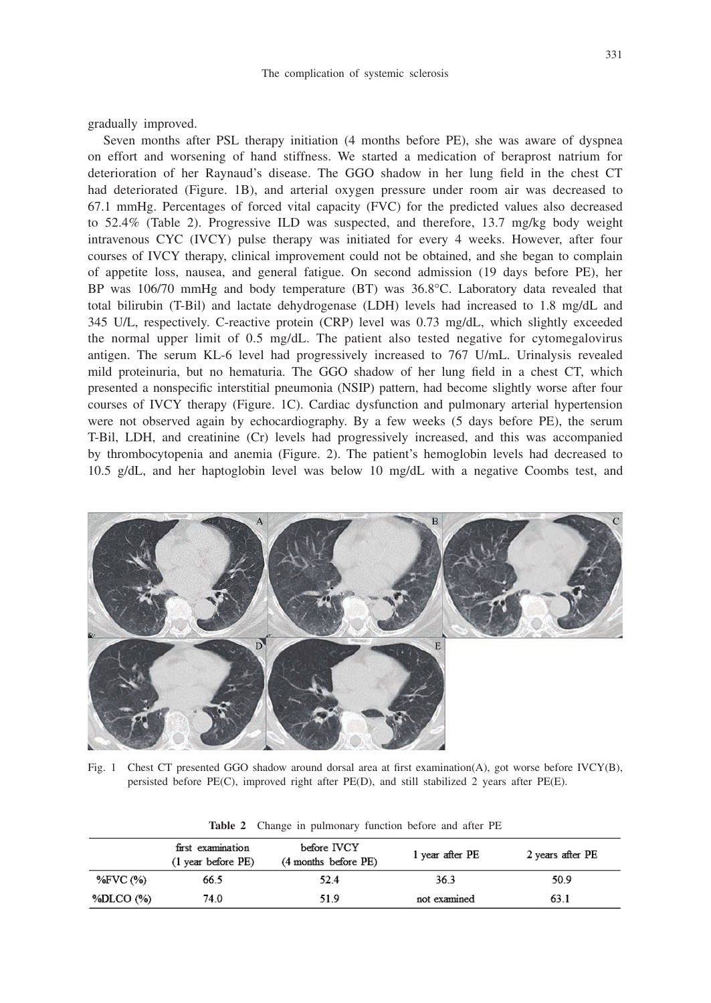gradually improved.

Seven months after PSL therapy initiation (4 months before PE), she was aware of dyspnea on effort and worsening of hand stiffness. We started a medication of beraprost natrium for deterioration of her Raynaud's disease. The GGO shadow in her lung field in the chest CT had deteriorated (Figure. 1B), and arterial oxygen pressure under room air was decreased to 67.1 mmHg. Percentages of forced vital capacity (FVC) for the predicted values also decreased to 52.4% (Table 2). Progressive ILD was suspected, and therefore, 13.7 mg/kg body weight intravenous CYC (IVCY) pulse therapy was initiated for every 4 weeks. However, after four courses of IVCY therapy, clinical improvement could not be obtained, and she began to complain of appetite loss, nausea, and general fatigue. On second admission (19 days before PE), her BP was 106/70 mmHg and body temperature (BT) was 36.8°C. Laboratory data revealed that total bilirubin (T-Bil) and lactate dehydrogenase (LDH) levels had increased to 1.8 mg/dL and 345 U/L, respectively. C-reactive protein (CRP) level was 0.73 mg/dL, which slightly exceeded the normal upper limit of 0.5 mg/dL. The patient also tested negative for cytomegalovirus antigen. The serum KL-6 level had progressively increased to 767 U/mL. Urinalysis revealed mild proteinuria, but no hematuria. The GGO shadow of her lung field in a chest CT, which presented a nonspecific interstitial pneumonia (NSIP) pattern, had become slightly worse after four courses of IVCY therapy (Figure. 1C). Cardiac dysfunction and pulmonary arterial hypertension were not observed again by echocardiography. By a few weeks (5 days before PE), the serum T-Bil, LDH, and creatinine (Cr) levels had progressively increased, and this was accompanied by thrombocytopenia and anemia (Figure. 2). The patient's hemoglobin levels had decreased to 10.5 g/dL, and her haptoglobin level was below 10 mg/dL with a negative Coombs test, and



Fig. 1 Chest CT presented GGO shadow around dorsal area at first examination(A), got worse before IVCY(B), persisted before PE(C), improved right after PE(D), and still stabilized 2 years after PE(E).

|           | first examination<br>$(1$ year before $PE$ ) | before IVCY<br>(4 months before PE) | 1 year after PE | 2 years after PE |
|-----------|----------------------------------------------|-------------------------------------|-----------------|------------------|
| %FVC (%)  | 66.5                                         | 52.4                                | 36.3            | 50.9             |
| %DLCO (%) | 74.0                                         | 51.9                                | not examined    | 63.1             |

**Table 2** Change in pulmonary function before and after PE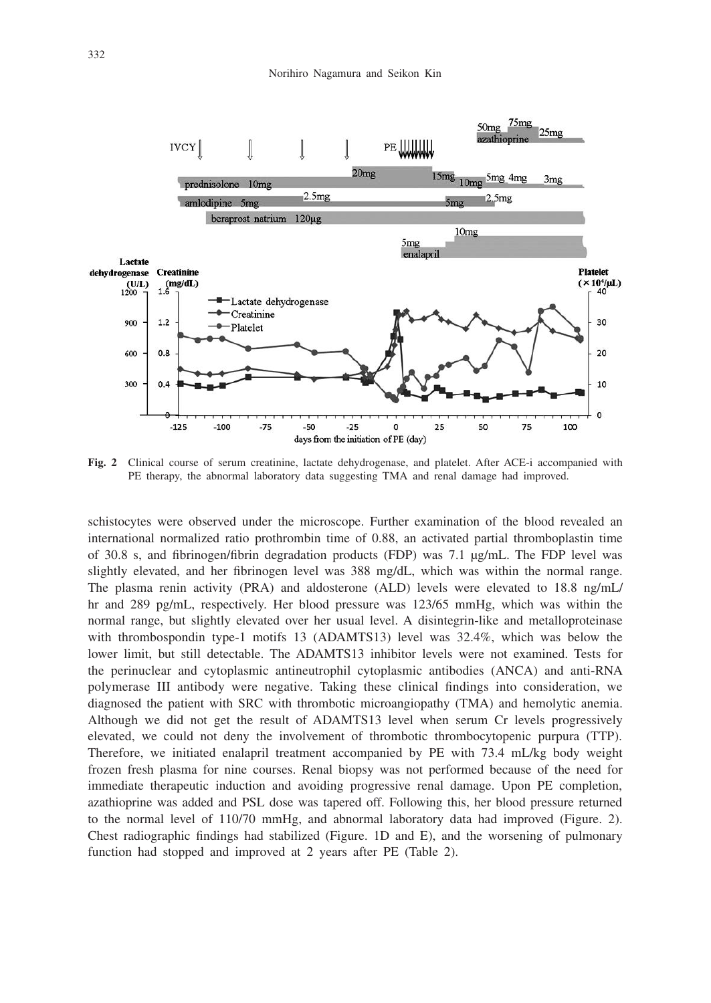

**Fig. 2** Clinical course of serum creatinine, lactate dehydrogenase, and platelet. After ACE-i accompanied with PE therapy, the abnormal laboratory data suggesting TMA and renal damage had improved.

schistocytes were observed under the microscope. Further examination of the blood revealed an international normalized ratio prothrombin time of 0.88, an activated partial thromboplastin time of 30.8 s, and brinogen/brin degradation products (FDP) was 7.1 μg/mL. The FDP level was slightly elevated, and her fibrinogen level was 388 mg/dL, which was within the normal range. The plasma renin activity (PRA) and aldosterone (ALD) levels were elevated to 18.8 ng/mL/ hr and 289 pg/mL, respectively. Her blood pressure was 123/65 mmHg, which was within the normal range, but slightly elevated over her usual level. A disintegrin-like and metalloproteinase with thrombospondin type-1 motifs 13 (ADAMTS13) level was 32.4%, which was below the lower limit, but still detectable. The ADAMTS13 inhibitor levels were not examined. Tests for the perinuclear and cytoplasmic antineutrophil cytoplasmic antibodies (ANCA) and anti-RNA polymerase III antibody were negative. Taking these clinical findings into consideration, we diagnosed the patient with SRC with thrombotic microangiopathy (TMA) and hemolytic anemia. Although we did not get the result of ADAMTS13 level when serum Cr levels progressively elevated, we could not deny the involvement of thrombotic thrombocytopenic purpura (TTP). Therefore, we initiated enalapril treatment accompanied by PE with 73.4 mL/kg body weight frozen fresh plasma for nine courses. Renal biopsy was not performed because of the need for immediate therapeutic induction and avoiding progressive renal damage. Upon PE completion, azathioprine was added and PSL dose was tapered off. Following this, her blood pressure returned to the normal level of 110/70 mmHg, and abnormal laboratory data had improved (Figure. 2). Chest radiographic findings had stabilized (Figure. 1D and E), and the worsening of pulmonary function had stopped and improved at 2 years after PE (Table 2).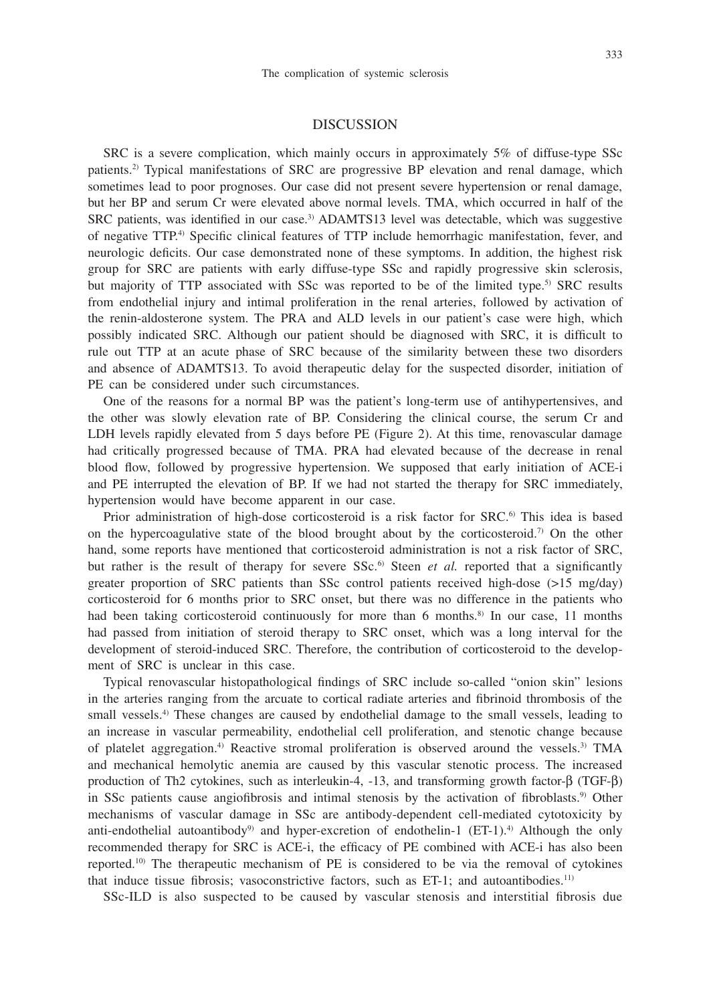## 333

### DISCUSSION

SRC is a severe complication, which mainly occurs in approximately 5% of diffuse-type SSc patients.2) Typical manifestations of SRC are progressive BP elevation and renal damage, which sometimes lead to poor prognoses. Our case did not present severe hypertension or renal damage, but her BP and serum Cr were elevated above normal levels. TMA, which occurred in half of the SRC patients, was identified in our case.<sup>3)</sup> ADAMTS13 level was detectable, which was suggestive of negative TTP.<sup>4)</sup> Specific clinical features of TTP include hemorrhagic manifestation, fever, and neurologic deficits. Our case demonstrated none of these symptoms. In addition, the highest risk group for SRC are patients with early diffuse-type SSc and rapidly progressive skin sclerosis, but majority of TTP associated with SSc was reported to be of the limited type.<sup>5)</sup> SRC results from endothelial injury and intimal proliferation in the renal arteries, followed by activation of the renin-aldosterone system. The PRA and ALD levels in our patient's case were high, which possibly indicated SRC. Although our patient should be diagnosed with SRC, it is difficult to rule out TTP at an acute phase of SRC because of the similarity between these two disorders and absence of ADAMTS13. To avoid therapeutic delay for the suspected disorder, initiation of PE can be considered under such circumstances.

One of the reasons for a normal BP was the patient's long-term use of antihypertensives, and the other was slowly elevation rate of BP. Considering the clinical course, the serum Cr and LDH levels rapidly elevated from 5 days before PE (Figure 2). At this time, renovascular damage had critically progressed because of TMA. PRA had elevated because of the decrease in renal blood flow, followed by progressive hypertension. We supposed that early initiation of ACE-i and PE interrupted the elevation of BP. If we had not started the therapy for SRC immediately, hypertension would have become apparent in our case.

Prior administration of high-dose corticosteroid is a risk factor for SRC.<sup>6</sup> This idea is based on the hypercoagulative state of the blood brought about by the corticosteroid.<sup>7</sup> On the other hand, some reports have mentioned that corticosteroid administration is not a risk factor of SRC, but rather is the result of therapy for severe  $SSc$ <sup>6</sup> Steen *et al.* reported that a significantly greater proportion of SRC patients than SSc control patients received high-dose (>15 mg/day) corticosteroid for 6 months prior to SRC onset, but there was no difference in the patients who had been taking corticosteroid continuously for more than 6 months.<sup>8)</sup> In our case, 11 months had passed from initiation of steroid therapy to SRC onset, which was a long interval for the development of steroid-induced SRC. Therefore, the contribution of corticosteroid to the development of SRC is unclear in this case.

Typical renovascular histopathological findings of SRC include so-called "onion skin" lesions in the arteries ranging from the arcuate to cortical radiate arteries and brinoid thrombosis of the small vessels.<sup>4)</sup> These changes are caused by endothelial damage to the small vessels, leading to an increase in vascular permeability, endothelial cell proliferation, and stenotic change because of platelet aggregation.4) Reactive stromal proliferation is observed around the vessels.3) TMA and mechanical hemolytic anemia are caused by this vascular stenotic process. The increased production of Th2 cytokines, such as interleukin-4, -13, and transforming growth factor-β (TGF-β) in SSc patients cause angiofibrosis and intimal stenosis by the activation of fibroblasts.<sup>9)</sup> Other mechanisms of vascular damage in SSc are antibody-dependent cell-mediated cytotoxicity by anti-endothelial autoantibody<sup>9)</sup> and hyper-excretion of endothelin-1 (ET-1).<sup>4)</sup> Although the only recommended therapy for SRC is ACE-i, the efficacy of PE combined with ACE-i has also been reported.<sup>10)</sup> The therapeutic mechanism of PE is considered to be via the removal of cytokines that induce tissue fibrosis; vasoconstrictive factors, such as  $ET-1$ ; and autoantibodies.<sup>11)</sup>

SSc-ILD is also suspected to be caused by vascular stenosis and interstitial fibrosis due